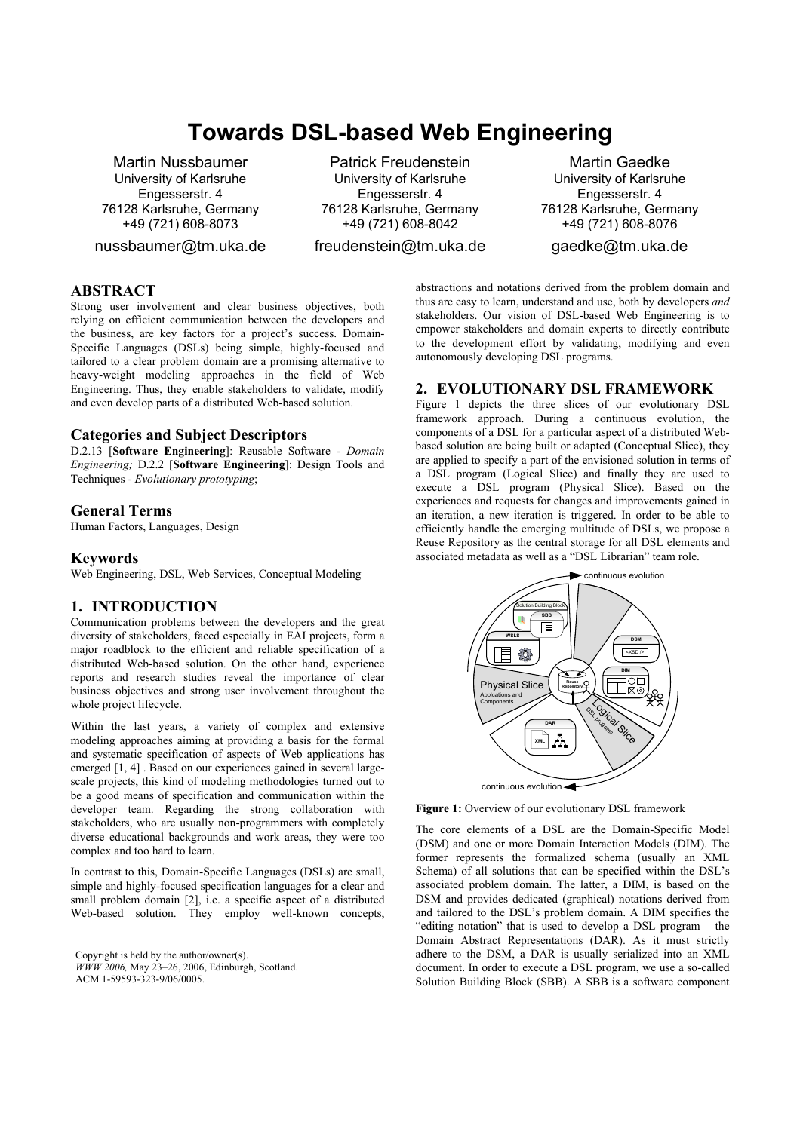# **Towards DSL-based Web Engineering**

Martin Nussbaumer University of Karlsruhe Engesserstr. 4 76128 Karlsruhe, Germany +49 (721) 608-8073

nussbaumer@tm.uka.de

Patrick Freudenstein University of Karlsruhe Engesserstr. 4 76128 Karlsruhe, Germany +49 (721) 608-8042

freudenstein@tm.uka.de

Martin Gaedke University of Karlsruhe Engesserstr. 4 76128 Karlsruhe, Germany +49 (721) 608-8076

gaedke@tm.uka.de

## **ABSTRACT**

Strong user involvement and clear business objectives, both relying on efficient communication between the developers and the business, are key factors for a project's success. Domain-Specific Languages (DSLs) being simple, highly-focused and tailored to a clear problem domain are a promising alternative to heavy-weight modeling approaches in the field of Web Engineering. Thus, they enable stakeholders to validate, modify and even develop parts of a distributed Web-based solution.

## **Categories and Subject Descriptors**

D.2.13 [**Software Engineering**]: Reusable Software - *Domain Engineering;* D.2.2 [**Software Engineering**]: Design Tools and Techniques - *Evolutionary prototyping*;

## **General Terms**

Human Factors, Languages, Design

### **Keywords**

Web Engineering, DSL, Web Services, Conceptual Modeling

#### **1. INTRODUCTION**

Communication problems between the developers and the great diversity of stakeholders, faced especially in EAI projects, form a major roadblock to the efficient and reliable specification of a distributed Web-based solution. On the other hand, experience reports and research studies reveal the importance of clear business objectives and strong user involvement throughout the whole project lifecycle.

Within the last years, a variety of complex and extensive modeling approaches aiming at providing a basis for the formal and systematic specification of aspects of Web applications has emerged [1, 4] . Based on our experiences gained in several largescale projects, this kind of modeling methodologies turned out to be a good means of specification and communication within the developer team. Regarding the strong collaboration with stakeholders, who are usually non-programmers with completely diverse educational backgrounds and work areas, they were too complex and too hard to learn.

In contrast to this, Domain-Specific Languages (DSLs) are small, simple and highly-focused specification languages for a clear and small problem domain [2], i.e. a specific aspect of a distributed Web-based solution. They employ well-known concepts,

Copyright is held by the author/owner(s). *WWW 2006,* May 23–26, 2006, Edinburgh, Scotland. ACM 1-59593-323-9/06/0005.

abstractions and notations derived from the problem domain and thus are easy to learn, understand and use, both by developers *and* stakeholders. Our vision of DSL-based Web Engineering is to empower stakeholders and domain experts to directly contribute to the development effort by validating, modifying and even autonomously developing DSL programs.

## **2. EVOLUTIONARY DSL FRAMEWORK**

Figure 1 depicts the three slices of our evolutionary DSL framework approach. During a continuous evolution, the components of a DSL for a particular aspect of a distributed Webbased solution are being built or adapted (Conceptual Slice), they are applied to specify a part of the envisioned solution in terms of a DSL program (Logical Slice) and finally they are used to execute a DSL program (Physical Slice). Based on the experiences and requests for changes and improvements gained in an iteration, a new iteration is triggered. In order to be able to efficiently handle the emerging multitude of DSLs, we propose a Reuse Repository as the central storage for all DSL elements and associated metadata as well as a "DSL Librarian" team role.



**Figure 1:** Overview of our evolutionary DSL framework

The core elements of a DSL are the Domain-Specific Model (DSM) and one or more Domain Interaction Models (DIM). The former represents the formalized schema (usually an XML Schema) of all solutions that can be specified within the DSL's associated problem domain. The latter, a DIM, is based on the DSM and provides dedicated (graphical) notations derived from and tailored to the DSL's problem domain. A DIM specifies the "editing notation" that is used to develop a DSL program – the Domain Abstract Representations (DAR). As it must strictly adhere to the DSM, a DAR is usually serialized into an XML document. In order to execute a DSL program, we use a so-called Solution Building Block (SBB). A SBB is a software component